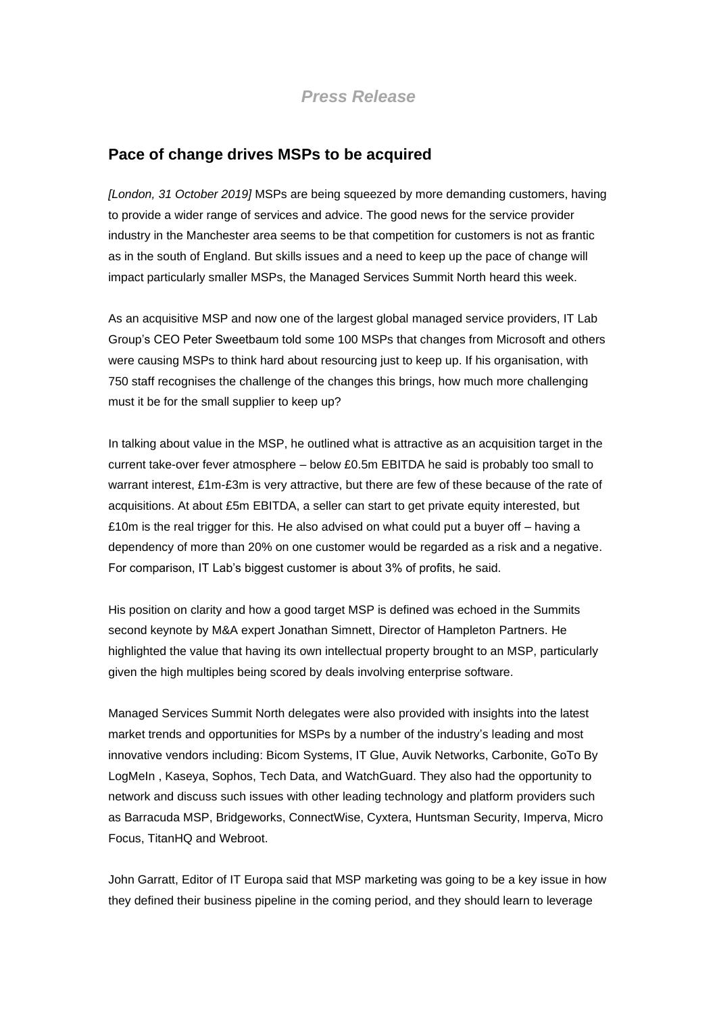## **Pace of change drives MSPs to be acquired**

*[London, 31 October 2019]* MSPs are being squeezed by more demanding customers, having to provide a wider range of services and advice. The good news for the service provider industry in the Manchester area seems to be that competition for customers is not as frantic as in the south of England. But skills issues and a need to keep up the pace of change will impact particularly smaller MSPs, the Managed Services Summit North heard this week.

As an acquisitive MSP and now one of the largest global managed service providers, IT Lab Group's CEO Peter Sweetbaum told some 100 MSPs that changes from Microsoft and others were causing MSPs to think hard about resourcing just to keep up. If his organisation, with 750 staff recognises the challenge of the changes this brings, how much more challenging must it be for the small supplier to keep up?

In talking about value in the MSP, he outlined what is attractive as an acquisition target in the current take-over fever atmosphere – below £0.5m EBITDA he said is probably too small to warrant interest, £1m-£3m is very attractive, but there are few of these because of the rate of acquisitions. At about £5m EBITDA, a seller can start to get private equity interested, but £10m is the real trigger for this. He also advised on what could put a buyer off  $-$  having a dependency of more than 20% on one customer would be regarded as a risk and a negative. For comparison, IT Lab's biggest customer is about 3% of profits, he said.

His position on clarity and how a good target MSP is defined was echoed in the Summits second keynote by M&A expert Jonathan Simnett, Director of Hampleton Partners. He highlighted the value that having its own intellectual property brought to an MSP, particularly given the high multiples being scored by deals involving enterprise software.

Managed Services Summit North delegates were also provided with insights into the latest market trends and opportunities for MSPs by a number of the industry's leading and most innovative vendors including: Bicom Systems, IT Glue, Auvik Networks, Carbonite, GoTo By LogMeIn , Kaseya, Sophos, Tech Data, and WatchGuard. They also had the opportunity to network and discuss such issues with other leading technology and platform providers such as Barracuda MSP, Bridgeworks, ConnectWise, Cyxtera, Huntsman Security, Imperva, Micro Focus, TitanHQ and Webroot.

John Garratt, Editor of IT Europa said that MSP marketing was going to be a key issue in how they defined their business pipeline in the coming period, and they should learn to leverage